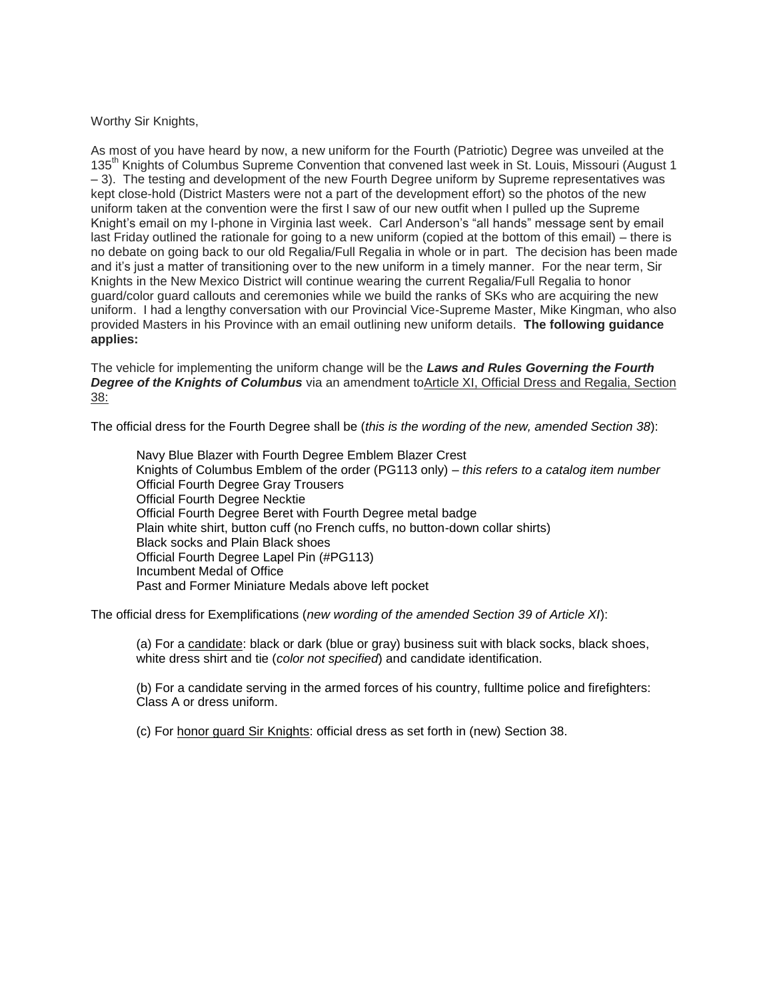## Worthy Sir Knights,

As most of you have heard by now, a new uniform for the Fourth (Patriotic) Degree was unveiled at the 135<sup>th</sup> Knights of Columbus Supreme Convention that convened last week in St. Louis, Missouri (August 1) – 3). The testing and development of the new Fourth Degree uniform by Supreme representatives was kept close-hold (District Masters were not a part of the development effort) so the photos of the new uniform taken at the convention were the first I saw of our new outfit when I pulled up the Supreme Knight's email on my I-phone in Virginia last week. Carl Anderson's "all hands" message sent by email last Friday outlined the rationale for going to a new uniform (copied at the bottom of this email) – there is no debate on going back to our old Regalia/Full Regalia in whole or in part. The decision has been made and it's just a matter of transitioning over to the new uniform in a timely manner. For the near term, Sir Knights in the New Mexico District will continue wearing the current Regalia/Full Regalia to honor guard/color guard callouts and ceremonies while we build the ranks of SKs who are acquiring the new uniform. I had a lengthy conversation with our Provincial Vice-Supreme Master, Mike Kingman, who also provided Masters in his Province with an email outlining new uniform details. **The following guidance applies:**

The vehicle for implementing the uniform change will be the *Laws and Rules Governing the Fourth Degree of the Knights of Columbus* via an amendment toArticle XI, Official Dress and Regalia, Section 38:

The official dress for the Fourth Degree shall be (*this is the wording of the new, amended Section 38*):

Navy Blue Blazer with Fourth Degree Emblem Blazer Crest Knights of Columbus Emblem of the order (PG113 only) – *this refers to a catalog item number* Official Fourth Degree Gray Trousers Official Fourth Degree Necktie Official Fourth Degree Beret with Fourth Degree metal badge Plain white shirt, button cuff (no French cuffs, no button-down collar shirts) Black socks and Plain Black shoes Official Fourth Degree Lapel Pin (#PG113) Incumbent Medal of Office Past and Former Miniature Medals above left pocket

The official dress for Exemplifications (*new wording of the amended Section 39 of Article XI*):

(a) For a candidate: black or dark (blue or gray) business suit with black socks, black shoes, white dress shirt and tie (*color not specified*) and candidate identification.

(b) For a candidate serving in the armed forces of his country, fulltime police and firefighters: Class A or dress uniform.

(c) For honor guard Sir Knights: official dress as set forth in (new) Section 38.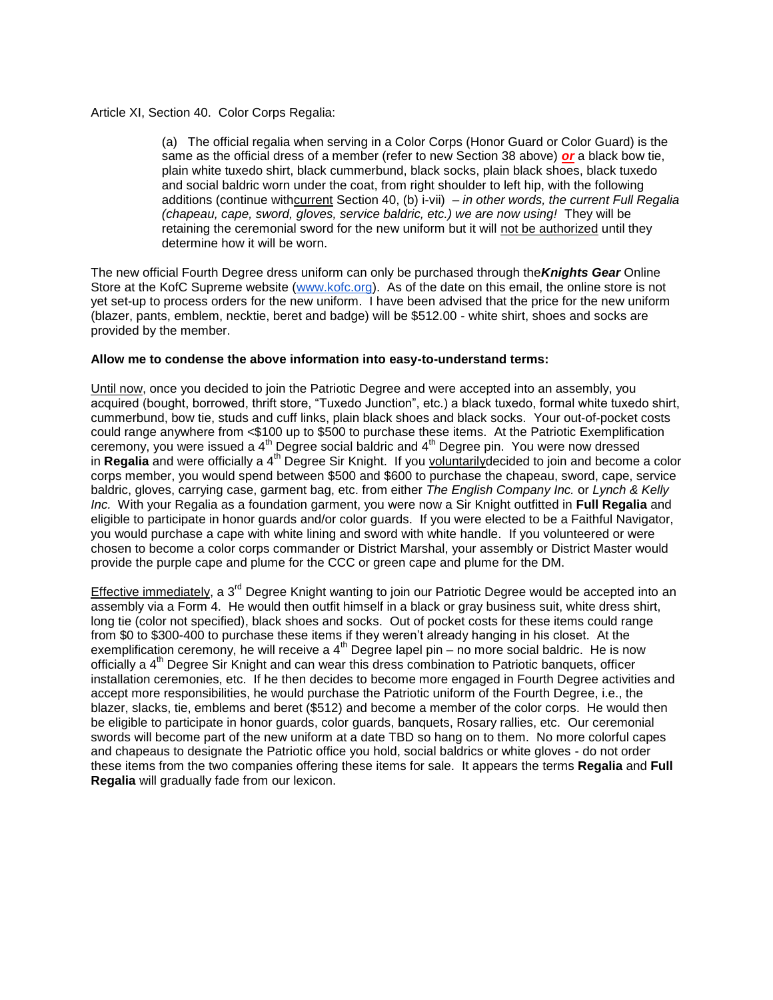## Article XI, Section 40. Color Corps Regalia:

(a) The official regalia when serving in a Color Corps (Honor Guard or Color Guard) is the same as the official dress of a member (refer to new Section 38 above) *or* a black bow tie, plain white tuxedo shirt, black cummerbund, black socks, plain black shoes, black tuxedo and social baldric worn under the coat, from right shoulder to left hip, with the following additions (continue withcurrent Section 40, (b) i-vii) *– in other words, the current Full Regalia (chapeau, cape, sword, gloves, service baldric, etc.) we are now using!* They will be retaining the ceremonial sword for the new uniform but it will not be authorized until they determine how it will be worn.

The new official Fourth Degree dress uniform can only be purchased through the*Knights Gear* Online Store at the KofC Supreme website [\(www.kofc.org\)](http://www.kofc.org/). As of the date on this email, the online store is not yet set-up to process orders for the new uniform. I have been advised that the price for the new uniform (blazer, pants, emblem, necktie, beret and badge) will be \$512.00 - white shirt, shoes and socks are provided by the member.

## **Allow me to condense the above information into easy-to-understand terms:**

Until now, once you decided to join the Patriotic Degree and were accepted into an assembly, you acquired (bought, borrowed, thrift store, "Tuxedo Junction", etc.) a black tuxedo, formal white tuxedo shirt, cummerbund, bow tie, studs and cuff links, plain black shoes and black socks. Your out-of-pocket costs could range anywhere from <\$100 up to \$500 to purchase these items. At the Patriotic Exemplification ceremony, you were issued a  $4<sup>th</sup>$  Degree social baldric and  $4<sup>th</sup>$  Degree pin. You were now dressed in **Regalia** and were officially a 4th Degree Sir Knight. If you voluntarilydecided to join and become a color corps member, you would spend between \$500 and \$600 to purchase the chapeau, sword, cape, service baldric, gloves, carrying case, garment bag, etc. from either *The English Company Inc.* or *Lynch & Kelly Inc.* With your Regalia as a foundation garment, you were now a Sir Knight outfitted in **Full Regalia** and eligible to participate in honor guards and/or color guards. If you were elected to be a Faithful Navigator, you would purchase a cape with white lining and sword with white handle. If you volunteered or were chosen to become a color corps commander or District Marshal, your assembly or District Master would provide the purple cape and plume for the CCC or green cape and plume for the DM.

Effective immediately, a 3<sup>rd</sup> Degree Knight wanting to join our Patriotic Degree would be accepted into an assembly via a Form 4. He would then outfit himself in a black or gray business suit, white dress shirt, long tie (color not specified), black shoes and socks. Out of pocket costs for these items could range from \$0 to \$300-400 to purchase these items if they weren't already hanging in his closet. At the exemplification ceremony, he will receive a  $4<sup>th</sup>$  Degree lapel pin – no more social baldric. He is now officially a 4<sup>th</sup> Degree Sir Knight and can wear this dress combination to Patriotic banguets, officer installation ceremonies, etc. If he then decides to become more engaged in Fourth Degree activities and accept more responsibilities, he would purchase the Patriotic uniform of the Fourth Degree, i.e., the blazer, slacks, tie, emblems and beret (\$512) and become a member of the color corps. He would then be eligible to participate in honor guards, color guards, banquets, Rosary rallies, etc. Our ceremonial swords will become part of the new uniform at a date TBD so hang on to them. No more colorful capes and chapeaus to designate the Patriotic office you hold, social baldrics or white gloves - do not order these items from the two companies offering these items for sale. It appears the terms **Regalia** and **Full Regalia** will gradually fade from our lexicon.